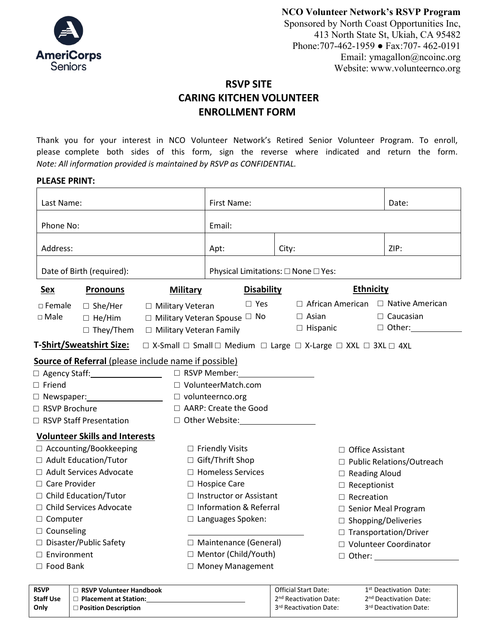

**NCO Volunteer Network's RSVP Program** 

Sponsored by North Coast Opportunities Inc, 413 North State St, Ukiah, CA 95482 Phone:707-462-1959 ● Fax:707- 462-0191 Email: [ymagallon@ncoinc.org](mailto:ymagallon@ncoinc.org) Website: [www.volunteernco.org](http://www.volunteernco.org/)

# **RSVP SITE CARING KITCHEN VOLUNTEER ENROLLMENT FORM**

Thank you for your interest in NCO Volunteer Network's Retired Senior Volunteer Program. To enroll, please complete both sides of this form, sign the reverse where indicated and return the form. *Note: All information provided is maintained by RSVP as CONFIDENTIAL.* 

| <b>PLEASE PRINT:</b> |  |
|----------------------|--|
|----------------------|--|

| Last Name:                                                  | First Name:                                                                                            |                                     | Date:                       |
|-------------------------------------------------------------|--------------------------------------------------------------------------------------------------------|-------------------------------------|-----------------------------|
| Phone No:                                                   | Email:                                                                                                 |                                     |                             |
| Address:                                                    | Apt:                                                                                                   | City:                               | ZIP:                        |
| Date of Birth (required):                                   |                                                                                                        | Physical Limitations: □ None □ Yes: |                             |
| <u>Sex</u><br><b>Pronouns</b>                               | <b>Military</b><br><b>Disability</b>                                                                   |                                     | <b>Ethnicity</b>            |
| $\Box$ Female<br>$\Box$ She/Her<br>□ Military Veteran       | $\square$ Yes                                                                                          | $\Box$ African American             | □ Native American           |
| $\square$ Male<br>$\Box$ He/Him                             | $\Box$ Military Veteran Spouse $\Box$ No                                                               | $\Box$ Asian                        | $\Box$ Caucasian            |
| $\Box$ They/Them                                            | □ Military Veteran Family                                                                              | $\Box$ Hispanic                     | $\Box$ Other:               |
| <b>T-Shirt/Sweatshirt Size:</b>                             | $\Box$ X-Small $\Box$ Small $\Box$ Medium $\Box$ Large $\Box$ X-Large $\Box$ XXL $\Box$ 3XL $\Box$ 4XL |                                     |                             |
| <b>Source of Referral</b> (please include name if possible) |                                                                                                        |                                     |                             |
| □ Agency Staff: <u>National Agency</u>                      | $\Box$ RSVP Member:                                                                                    |                                     |                             |
| $\Box$ Friend                                               | $\Box$ VolunteerMatch.com                                                                              |                                     |                             |
| $\Box$ Newspaper: $\Box$                                    | $\Box$ volunteernco.org                                                                                |                                     |                             |
| RSVP Brochure                                               | □ AARP: Create the Good                                                                                |                                     |                             |
| □ RSVP Staff Presentation                                   | □ Other Website: <u>University</u>                                                                     |                                     |                             |
| <b>Volunteer Skills and Interests</b>                       |                                                                                                        |                                     |                             |
| □ Accounting/Bookkeeping                                    | $\Box$ Friendly Visits                                                                                 |                                     | □ Office Assistant          |
| □ Adult Education/Tutor                                     | □ Gift/Thrift Shop                                                                                     |                                     | □ Public Relations/Outreach |
| □ Adult Services Advocate                                   | □ Homeless Services                                                                                    |                                     | $\Box$ Reading Aloud        |
| $\Box$ Care Provider                                        | $\Box$ Hospice Care                                                                                    |                                     | $\Box$ Receptionist         |
| □ Child Education/Tutor                                     | $\Box$ Instructor or Assistant                                                                         |                                     | $\Box$ Recreation           |
| □ Child Services Advocate                                   | $\Box$ Information & Referral                                                                          |                                     | $\Box$ Senior Meal Program  |
| □ Computer                                                  | $\Box$ Languages Spoken:                                                                               |                                     | $\Box$ Shopping/Deliveries  |
| $\Box$ Counseling                                           |                                                                                                        |                                     | □ Transportation/Driver     |
| □ Disaster/Public Safety                                    | □ Maintenance (General)                                                                                |                                     | □ Volunteer Coordinator     |
| $\Box$ Environment                                          | □ Mentor (Child/Youth)                                                                                 |                                     |                             |
| $\Box$ Food Bank                                            | □ Money Management                                                                                     |                                     |                             |

| <b>RSVP</b>      | $\Box$ RSVP Volunteer Handbook | <b>Official Start Date:</b>        | 1 <sup>st</sup> Deactivation Date: |
|------------------|--------------------------------|------------------------------------|------------------------------------|
| <b>Staff Use</b> | Placement at Station:          | 2 <sup>nd</sup> Reactivation Date: | 2 <sup>nd</sup> Deactivation Date: |
| Only             | $\Box$ Position Description    | 3 <sup>rd</sup> Reactivation Date: | 3rd Deactivation Date:             |